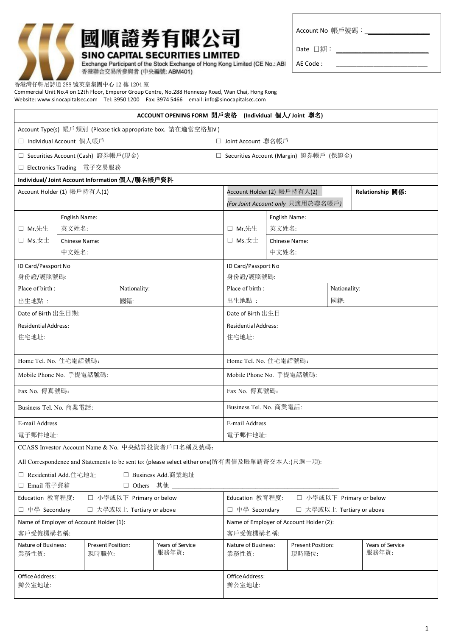

# 國順證券有限公司 **SINO CAPITAL SECURITIES LIMITED**

Account No 帳戶號碼:\_\_\_\_\_\_\_\_\_\_\_\_\_\_\_\_\_\_\_\_\_

Date 日期: \_\_\_\_\_\_\_\_\_\_\_\_\_\_\_\_\_\_\_\_\_\_\_\_\_\_\_\_\_

AE Code : \_\_\_\_\_\_\_\_\_\_\_\_\_\_\_\_\_\_\_\_\_\_\_\_\_\_\_

Exchange Participant of the Stock Exchange of Hong Kong Limited (CE No.: ABI 香港聯合交易所參與者 (中央編號: ABM401)

香港灣仔軒尼詩道 288 號英皇集團中心 12 樓 1204 室

Commercial Unit No.4 on 12th Floor, Emperor Group Centre, No.288 Hennessy Road, Wan Chai, Hong Kong Website: www.sinocapitalsec.com Tel: 3950 1200 Fax: 3974 5466 email: info@sinocapitalsec.com

| ACCOUNT OPENING FORM 開戶表格 (Individual 個人/ Joint 聯名)                                             |                                                                                  |                                   |              |                                                              |                                                 |              |                                   |     |                           |
|-------------------------------------------------------------------------------------------------|----------------------------------------------------------------------------------|-----------------------------------|--------------|--------------------------------------------------------------|-------------------------------------------------|--------------|-----------------------------------|-----|---------------------------|
|                                                                                                 |                                                                                  |                                   |              | Account Type(s) 帳戶類別 (Please tick appropriate box. 請在適當空格加√) |                                                 |              |                                   |     |                           |
| □ Individual Account 個人帳戶                                                                       |                                                                                  |                                   |              |                                                              | □ Joint Account 聯名帳戶                            |              |                                   |     |                           |
|                                                                                                 | □ Securities Account (Cash) 證券帳戶(現金)<br>□ Securities Account (Margin) 證券帳戶 (保證金) |                                   |              |                                                              |                                                 |              |                                   |     |                           |
|                                                                                                 | □ Electronics Trading 電子交易服務                                                     |                                   |              |                                                              |                                                 |              |                                   |     |                           |
| Individual/Joint Account Information 個人/聯名帳戶資料                                                  |                                                                                  |                                   |              |                                                              |                                                 |              |                                   |     |                           |
| Account Holder (1) 帳戶持有人(1)                                                                     |                                                                                  |                                   |              |                                                              | Relationship 關係:<br>Account Holder (2) 帳戶持有人(2) |              |                                   |     |                           |
|                                                                                                 |                                                                                  |                                   |              |                                                              | (For Joint Account only 只適用於聯名帳戶)               |              |                                   |     |                           |
|                                                                                                 | English Name:                                                                    |                                   |              | English Name:                                                |                                                 |              |                                   |     |                           |
| □ Mr.先生                                                                                         |                                                                                  | 英文姓名:                             |              |                                                              | □ Mr.先生                                         | 英文姓名:        |                                   |     |                           |
| $\square$ Ms.女士                                                                                 | Chinese Name:                                                                    |                                   |              |                                                              |                                                 |              | <b>Chinese Name:</b>              |     |                           |
|                                                                                                 | 中文姓名:                                                                            |                                   |              |                                                              | 中文姓名:                                           |              |                                   |     |                           |
| ID Card/Passport No                                                                             |                                                                                  |                                   |              |                                                              | ID Card/Passport No                             |              |                                   |     |                           |
| 身份證/護照號碼:                                                                                       |                                                                                  |                                   |              |                                                              | 身份證/護照號碼:                                       |              |                                   |     |                           |
| Place of birth:                                                                                 |                                                                                  |                                   | Nationality: |                                                              | Place of birth:                                 | Nationality: |                                   |     |                           |
| 出生地點:                                                                                           |                                                                                  |                                   | 國籍:          |                                                              | 出生地點:                                           |              |                                   | 國籍: |                           |
| Date of Birth 出生日期:                                                                             |                                                                                  |                                   |              |                                                              | Date of Birth 出生日                               |              |                                   |     |                           |
| <b>Residential Address:</b>                                                                     |                                                                                  |                                   |              |                                                              | <b>Residential Address:</b>                     |              |                                   |     |                           |
| 住宅地址:                                                                                           |                                                                                  |                                   |              |                                                              | 住宅地址:                                           |              |                                   |     |                           |
|                                                                                                 |                                                                                  |                                   |              |                                                              |                                                 |              |                                   |     |                           |
| Home Tel. No. 住宅電話號碼:                                                                           |                                                                                  |                                   |              |                                                              | Home Tel. No. 住宅電話號碼:                           |              |                                   |     |                           |
| Mobile Phone No. 手提電話號碼:                                                                        |                                                                                  |                                   |              |                                                              | Mobile Phone No. 手提電話號碼:                        |              |                                   |     |                           |
| Fax No. 傳真號碼:                                                                                   |                                                                                  |                                   |              |                                                              | Fax No. 傳真號碼:                                   |              |                                   |     |                           |
| Business Tel. No. 商業電話:                                                                         |                                                                                  |                                   |              |                                                              | Business Tel. No. 商業電話:                         |              |                                   |     |                           |
| E-mail Address                                                                                  |                                                                                  |                                   |              | E-mail Address                                               |                                                 |              |                                   |     |                           |
| 電子郵件地址:                                                                                         |                                                                                  |                                   |              | 電子郵件地址:                                                      |                                                 |              |                                   |     |                           |
|                                                                                                 |                                                                                  |                                   |              | CCASS Investor Account Name & No. 中央結算投資者戶口名稱及號碼:            |                                                 |              |                                   |     |                           |
| All Correspondence and Statements to be sent to: (please select either one)所有書信及賬單請寄交本人:(只選一項): |                                                                                  |                                   |              |                                                              |                                                 |              |                                   |     |                           |
| □ Residential Add.住宅地址<br>□ Business Add.商業地址                                                   |                                                                                  |                                   |              |                                                              |                                                 |              |                                   |     |                           |
| □ Email 電子郵箱<br>□ Others 其他                                                                     |                                                                                  |                                   |              |                                                              |                                                 |              |                                   |     |                           |
| Education 教育程度:<br>□ 小學或以下 Primary or below                                                     |                                                                                  |                                   |              | Education 教育程度:<br>□ 小學或以下 Primary or below                  |                                                 |              |                                   |     |                           |
| □ 中學 Secondary<br>□ 大學或以上 Tertiary or above                                                     |                                                                                  |                                   |              | □ 中學 Secondary<br>□ 大學或以上 Tertiary or above                  |                                                 |              |                                   |     |                           |
| Name of Employer of Account Holder (1):                                                         |                                                                                  |                                   |              | Name of Employer of Account Holder (2):                      |                                                 |              |                                   |     |                           |
| 客戶受僱機構名稱:                                                                                       |                                                                                  |                                   |              | 客戶受僱機構名稱:                                                    |                                                 |              |                                   |     |                           |
| Nature of Business:<br>業務性質:                                                                    |                                                                                  | <b>Present Position:</b><br>現時職位: |              | Years of Service<br>服務年資:                                    | Nature of Business:<br>業務性質:                    |              | <b>Present Position:</b><br>現時職位: |     | Years of Service<br>服務年資: |
| Office Address:<br>辦公室地址:                                                                       |                                                                                  |                                   |              | Office Address:<br>辦公室地址:                                    |                                                 |              |                                   |     |                           |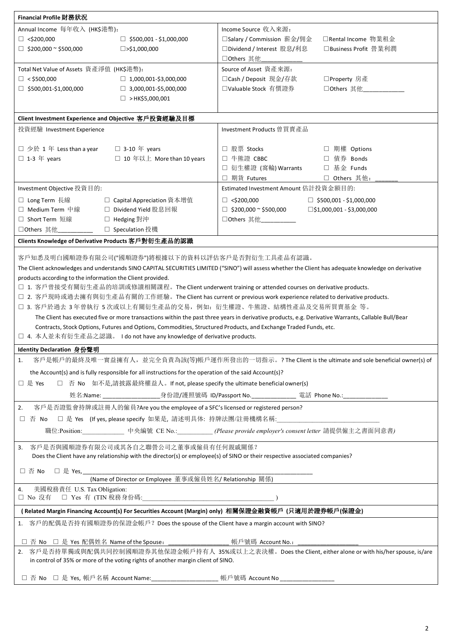| Financial Profile 財務狀況                                                                                                      |                                                                                                                                                      |  |  |  |  |
|-----------------------------------------------------------------------------------------------------------------------------|------------------------------------------------------------------------------------------------------------------------------------------------------|--|--|--|--|
| Annual Income 每年收入 (HK\$港幣):                                                                                                | Income Source 收入來源:                                                                                                                                  |  |  |  |  |
| $\Box$ <\$200,000<br>$\Box$ \$500,001 - \$1,000,000                                                                         | □Salary / Commission 薪金/佣金<br>□ Rental Income 物業租金                                                                                                   |  |  |  |  |
| $\Box$ \$200,000 ~ \$500,000<br>$\square$ >\$1,000,000                                                                      | □ Dividend / Interest 股息/利息<br>□Business Profit 營業利潤                                                                                                 |  |  |  |  |
|                                                                                                                             | □ Others 其他                                                                                                                                          |  |  |  |  |
| Total Net Value of Assets 資產淨值 (HK\$港幣):                                                                                    | Source of Asset 資產來源:                                                                                                                                |  |  |  |  |
| $\Box$ < \$500,000<br>$\Box$ 1,000,001-\$3,000,000                                                                          | □Cash / Deposit 現金/存款<br>□Property 房產                                                                                                                |  |  |  |  |
| $\Box$ \$500,001-\$1,000,000<br>$\Box$ 3,000,001-\$5,000,000                                                                | □Valuable Stock 有價證券<br>□ Others 其他                                                                                                                  |  |  |  |  |
| $\Box$ > HK\$5,000,001                                                                                                      |                                                                                                                                                      |  |  |  |  |
|                                                                                                                             |                                                                                                                                                      |  |  |  |  |
| Client Investment Experience and Objective 客戶投資經驗及目標                                                                        |                                                                                                                                                      |  |  |  |  |
| 投資經驗 Investment Experience                                                                                                  | Investment Products 曾買賣產品                                                                                                                            |  |  |  |  |
|                                                                                                                             |                                                                                                                                                      |  |  |  |  |
| □ 少於 1 年 Less than a year □ 3-10 年 years                                                                                    | □ 股票 Stocks<br>□ 期權 Options                                                                                                                          |  |  |  |  |
| $\square$ 1-3 $\#$ years<br>□ 10年以上 More than 10 years                                                                      | □ 牛熊證 CBBC<br>□ 債券 Bonds                                                                                                                             |  |  |  |  |
|                                                                                                                             | □ 衍生權證 (窩輪) Warrants<br>□ 基金 Funds                                                                                                                   |  |  |  |  |
|                                                                                                                             | □ 期貨 Futures<br>□ Others 其他:                                                                                                                         |  |  |  |  |
| Investment Objective 投資目的:                                                                                                  | Estimated Investment Amount 估計投資金額目的:                                                                                                                |  |  |  |  |
| □ Long Term 長線<br>□ Capital Appreciation 資本增值                                                                               | $\Box$ <\$200,000<br>$\Box$ \$500,001 - \$1,000,000                                                                                                  |  |  |  |  |
| □ Medium Term 中線<br>□ Dividend Yield 股息回報                                                                                   | $\square$ \$1,000,001 - \$3,000,000<br>$\Box$ \$200,000 ~ \$500,000                                                                                  |  |  |  |  |
| □ Short Term 短線<br>□ Hedging 對沖                                                                                             | □ Others 其他                                                                                                                                          |  |  |  |  |
| □ Speculation 投機<br>□Others 其他                                                                                              |                                                                                                                                                      |  |  |  |  |
| Clients Knowledge of Derivative Products 客戶對衍生產品的認識                                                                         |                                                                                                                                                      |  |  |  |  |
|                                                                                                                             |                                                                                                                                                      |  |  |  |  |
| 客戶知悉及明白國順證券有限公司("國順證券")將根據以下的資料以評估客戶是否對衍生工具產品有認識。                                                                           |                                                                                                                                                      |  |  |  |  |
|                                                                                                                             | The Client acknowledges and understands SINO CAPITAL SECURITIES LIMITED ("SINO") will assess whether the Client has adequate knowledge on derivative |  |  |  |  |
| products according to the information the Client provided.                                                                  |                                                                                                                                                      |  |  |  |  |
| □ 1. 客戶曾接受有關衍生產品的培訓或修讀相關課程。The Client underwent training or attended courses on derivative products.                        |                                                                                                                                                      |  |  |  |  |
| □ 2. 客戶現時或過去擁有與衍生產品有關的工作經驗。The Client has current or previous work experience related to derivative products.               |                                                                                                                                                      |  |  |  |  |
| □ 3. 客戶於過去 3年曾執行 5次或以上有關衍生產品的交易, 例如: 衍生權證、牛熊證、結構性產品及交易所買賣基金 等。                                                              |                                                                                                                                                      |  |  |  |  |
|                                                                                                                             | The Client has executed five or more transactions within the past three years in derivative products, e.g. Derivative Warrants, Callable Bull/Bear   |  |  |  |  |
| Contracts, Stock Options, Futures and Options, Commodities, Structured Products, and Exchange Traded Funds, etc.            |                                                                                                                                                      |  |  |  |  |
| □ 4. 本人並未有衍生產品之認識。 I do not have any knowledge of derivative products.                                                      |                                                                                                                                                      |  |  |  |  |
| Identity Declaration 身份聲明                                                                                                   |                                                                                                                                                      |  |  |  |  |
| 1.                                                                                                                          | 客戶是帳戶的最終及唯一實益擁有人,並完全負責為該(等)帳戶運作所發出的一切指示。? The Client is the ultimate and sole beneficial owner(s) of                                                 |  |  |  |  |
| the Account(s) and is fully responsible for all instructions for the operation of the said Account(s)?                      |                                                                                                                                                      |  |  |  |  |
| □ 否 No 如不是,請披露最終權益人。If not, please specify the ultimate beneficial owner(s)<br>□ 是 Yes                                      |                                                                                                                                                      |  |  |  |  |
|                                                                                                                             |                                                                                                                                                      |  |  |  |  |
|                                                                                                                             | 姓名:Name: ____________________身份證/護照號碼_ID/Passport No.______________________ 電話_Phone No.:________________                                            |  |  |  |  |
| 客戶是否證監會持牌或註冊人的僱員?Are you the employee of a SFC's licensed or registered person?<br>2.                                       |                                                                                                                                                      |  |  |  |  |
| □ 否 No □ 是 Yes (If yes, please specify 如果是, 請述明具体: 持牌法團/註冊機構名稱:                                                             |                                                                                                                                                      |  |  |  |  |
|                                                                                                                             | 職位:Position: 中央編號 CE No.: (Please provide employer's consent letter 請提供僱主之書面同意書)                                                                     |  |  |  |  |
| 客戶是否與國順證券有限公司或其各自之聯營公司之董事或僱員有任何親戚關係?                                                                                        |                                                                                                                                                      |  |  |  |  |
|                                                                                                                             |                                                                                                                                                      |  |  |  |  |
| Does the Client have any relationship with the director(s) or employee(s) of SINO or their respective associated companies? |                                                                                                                                                      |  |  |  |  |
| □ 否 No □ 是 Yes,___                                                                                                          |                                                                                                                                                      |  |  |  |  |
| (Name of Director or Employee 董事或僱員姓名/ Relationship 關係)                                                                     |                                                                                                                                                      |  |  |  |  |
| 美國稅務責任 U.S. Tax Obligation:<br>4.                                                                                           |                                                                                                                                                      |  |  |  |  |
|                                                                                                                             |                                                                                                                                                      |  |  |  |  |
| (Related Margin Financing Account(s) For Securities Account (Margin) only) 相關保證金融資帳戶 (只適用於證券帳戶(保證金)                         |                                                                                                                                                      |  |  |  |  |
| 1. 客戶的配偶是否持有國順證券的保證金帳戶? Does the spouse of the Client have a margin account with SINO?                                      |                                                                                                                                                      |  |  |  |  |
|                                                                                                                             | 帳戶號碼 Account No.:                                                                                                                                    |  |  |  |  |
| 2. 客戶是否持單獨或與配偶共同控制國順證券其他保證金帳戶持有人 35%或以上之表決權。Does the Client, either alone or with his/her spouse, is/are                    |                                                                                                                                                      |  |  |  |  |
| in control of 35% or more of the voting rights of another margin client of SINO.                                            |                                                                                                                                                      |  |  |  |  |
|                                                                                                                             |                                                                                                                                                      |  |  |  |  |
| □ 否 No □ 是 Yes,帳戶名稱 Account Name:____________________帳戶號碼 Account No________________                                        |                                                                                                                                                      |  |  |  |  |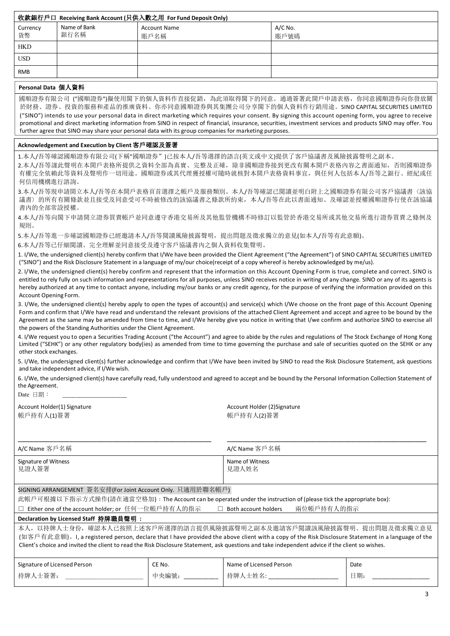| 收款銀行戶口 Receiving Bank Account (只供入數之用 For Fund Deposit Only) |                      |                             |                 |  |  |
|--------------------------------------------------------------|----------------------|-----------------------------|-----------------|--|--|
| Currency<br>貨幣                                               | Name of Bank<br>銀行名稱 | <b>Account Name</b><br>賬戶名稱 | A/C No.<br>賬戶號碼 |  |  |
| HKD                                                          |                      |                             |                 |  |  |
| <b>USD</b>                                                   |                      |                             |                 |  |  |
| <b>RMB</b>                                                   |                      |                             |                 |  |  |
|                                                              | .                    |                             |                 |  |  |

## **Personal Data** 個人資料

國順證券有限公司 ("國順證券")擬使用閣下的個人資料作直接促銷,為此須取得閣下的同意。通過簽署此開戶申請表格,你同意國順證券向你發放關 於財務、證券、投資的服務和產品的推廣資料。你亦同意國順證券與其集團公司分享閣下的個人資料作行銷用途。SINO CAPITAL SECURITIES LIMITED ("SINO") intends to use your personal data in direct marketing which requires your consent. By signing this account opening form, you agree to receive promotional and direct marketing information from SINO in respect of financial, insurance, securities, investment services and products SINO may offer. You further agree that SINO may share your personal data with its group companies for marketing purposes.

## **Acknowledgement and Execution by Client** 客戶確認及簽署

1.本人/吾等確認國順證券有限公司(下稱"國順證券")已按本人/吾等選擇的語言(英文或中文)提供了客戶協議書及風險披露聲明之副本。

2.本人/吾等謹此聲明在本開戶表格所提供之資料全部為真實、完整及正確,除非國順證券接到更改有關本開戶表格內容之書面通知,否則國順證券 有權完全依賴此等資料及聲明作一切用途。國順證券或其代理獲授權可隨時就核對本開戶表格資料事宜,與任何人包括本人/吾等之銀行、經紀或任 何信用機構進行諮詢。

3.本人/吾等現申請開立本人/吾等在本開戶表格頁首選擇之帳戶及服務類別。本人/吾等確認已閱讀並明白附上之國順證券有限公司客戶協議書〈該協 議書〉的所有有關條款並且接受及同意受可不時被修改的該協議書之條款所約束,本人/吾等在此以書面通知、及確認並授權國順證券行使在該協議 書內的全部常設授權。

4.本人/吾等向閣下申請開立證券買賣帳戶並同意遵守香港交易所及其他監管機構不時修訂以監管於香港交易所或其他交易所進行證券買賣之條例及 規則。

5.本人/吾等進一步確認國順證券已經邀請本人/吾等閱讀風險披露聲明,提出問題及徵求獨立的意見(如本人/吾等有此意願)。

6.本人/吾等已仔細閱讀、完全理解並同意接受及遵守客戶協議書內之個人資料收集聲明。

1. I/We, the undersigned client(s) hereby confirm that I/We have been provided the Client Agreement ("the Agreement") of SINO CAPITAL SECURITIES LIMITED ("SINO") and the Risk Disclosure Statement in a language of my/our choice(receipt of a copy whereof is hereby acknowledged by me/us).

2. I/We, the undersigned client(s) hereby confirm and represent that the information on this Account Opening Form is true, complete and correct. SINO is entitled to rely fully on such information and representations for all purposes, unless SINO receives notice in writing of any change. SINO or any of its agents is hereby authorized at any time to contact anyone, including my/our banks or any credit agency, for the purpose of verifying the information provided on this Account Opening Form.

3. I/We, the undersigned client(s) hereby apply to open the types of account(s) and service(s) which I/We choose on the front page of this Account Opening Form and confirm that I/We have read and understand the relevant provisions of the attached Client Agreement and accept and agree to be bound by the Agreement as the same may be amended from time to time, and I/We hereby give you notice in writing that I/we confirm and authorize SINO to exercise all the powers of the Standing Authorities under the Client Agreement.

4. I/We request you to open a Securities Trading Account ("the Account") and agree to abide by the rules and regulations of The Stock Exchange of Hong Kong Limited ("SEHK") or any other regulatory body(ies) as amended from time to time governing the purchase and sale of securities quoted on the SEHK or any other stock exchanges.

5. I/We, the undersigned client(s) further acknowledge and confirm that I/We have been invited by SINO to read the Risk Disclosure Statement, ask questions and take independent advice, if I/We wish.

6. I/We, the undersigned client(s) have carefully read, fully understood and agreed to accept and be bound by the Personal Information Collection Statement of the Agreement.

 $Date$  日期:

帳戶持有人(1)簽署 またま しょうしょう しょうしょう しゅうしょく 帳戶持有人(2)簽署

Account Holder(1) Signature Account Holder (2)Signature Account Holder (2)Signature

| A/C Name 客戶名稱                                                                                                                                                                                                                                                                                                                                                              |        | A/C Name 客戶名稱            |      |  |
|----------------------------------------------------------------------------------------------------------------------------------------------------------------------------------------------------------------------------------------------------------------------------------------------------------------------------------------------------------------------------|--------|--------------------------|------|--|
| Signature of Witness<br>見證人簽署                                                                                                                                                                                                                                                                                                                                              |        | Name of Witness<br>見證人姓名 |      |  |
| SIGNING ARRANGEMENT 簽名安排(For Joint Account Only. 只適用於聯名帳戶)                                                                                                                                                                                                                                                                                                                 |        |                          |      |  |
| 此帳戶可根據以下指示方式操作(請在適當空格加): The Account can be operated under the instruction of (please tick the appropriate box):                                                                                                                                                                                                                                                           |        |                          |      |  |
| 兩位帳戶持有人的指示<br>□ Either one of the account holder; or 任何一位帳戶持有人的指示<br>$\Box$ Both account holders                                                                                                                                                                                                                                                                           |        |                          |      |  |
| Declaration by Licensed Staff 持牌職員聲明:                                                                                                                                                                                                                                                                                                                                      |        |                          |      |  |
| 本人,以持牌人士身份,確認本人已按照上述客戶所選擇的語言提供風險披露聲明之副本及邀請客戶閱讀該風險披露聲明、提出問題及徵求獨立意見<br>(如客戶有此意願)。I, a registered person, declare that I have provided the above client with a copy of the Risk Disclosure Statement in a language of the<br>Client's choice and invited the client to read the Risk Disclosure Statement, ask questions and take independent advice if the client so wishes. |        |                          |      |  |
| Signature of Licensed Person                                                                                                                                                                                                                                                                                                                                               | CE No. | Name of Licensed Person  | Date |  |
| 持牌人士簽署:                                                                                                                                                                                                                                                                                                                                                                    | 中央編號:  | 持牌人士姓名:                  | 日期:  |  |